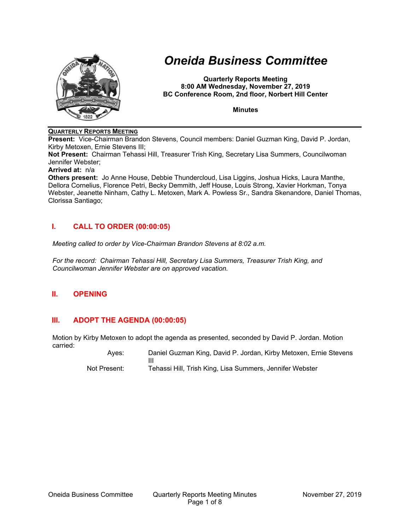

# *Oneida Business Committee*

**Quarterly Reports Meeting 8:00 AM Wednesday, November 27, 2019 BC Conference Room, 2nd floor, Norbert Hill Center** 

**Minutes** 

## **QUARTERLY REPORTS MEETING**

**Present:** Vice-Chairman Brandon Stevens, Council members: Daniel Guzman King, David P. Jordan, Kirby Metoxen, Ernie Stevens III;

**Not Present:** Chairman Tehassi Hill, Treasurer Trish King, Secretary Lisa Summers, Councilwoman Jennifer Webster;

#### **Arrived at:** n/a

**Others present:** Jo Anne House, Debbie Thundercloud, Lisa Liggins, Joshua Hicks, Laura Manthe, Dellora Cornelius, Florence Petri, Becky Demmith, Jeff House, Louis Strong, Xavier Horkman, Tonya Webster, Jeanette Ninham, Cathy L. Metoxen, Mark A. Powless Sr., Sandra Skenandore, Daniel Thomas, Clorissa Santiago;

# **I. CALL TO ORDER (00:00:05)**

*Meeting called to order by Vice-Chairman Brandon Stevens at 8:02 a.m.* 

*For the record: Chairman Tehassi Hill, Secretary Lisa Summers, Treasurer Trish King, and Councilwoman Jennifer Webster are on approved vacation.* 

# **II. OPENING**

# **III. ADOPT THE AGENDA (00:00:05)**

Motion by Kirby Metoxen to adopt the agenda as presented, seconded by David P. Jordan. Motion carried:

 Ayes: Daniel Guzman King, David P. Jordan, Kirby Metoxen, Ernie Stevens III Not Present: Tehassi Hill, Trish King, Lisa Summers, Jennifer Webster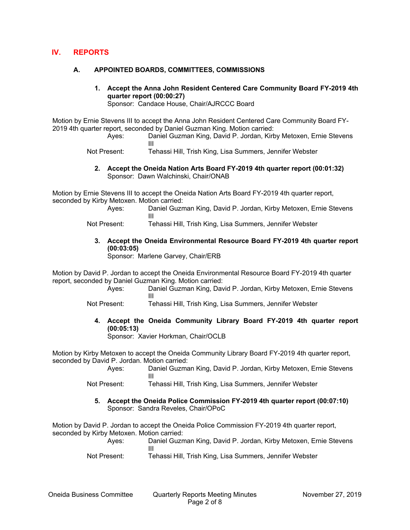# **IV. REPORTS**

## **A. APPOINTED BOARDS, COMMITTEES, COMMISSIONS**

**1. Accept the Anna John Resident Centered Care Community Board FY-2019 4th quarter report (00:00:27)**  Sponsor: Candace House, Chair/AJRCCC Board

Motion by Ernie Stevens III to accept the Anna John Resident Centered Care Community Board FY-2019 4th quarter report, seconded by Daniel Guzman King. Motion carried:

- Ayes: Daniel Guzman King, David P. Jordan, Kirby Metoxen, Ernie Stevens III
- Not Present: Tehassi Hill, Trish King, Lisa Summers, Jennifer Webster
	- **2. Accept the Oneida Nation Arts Board FY-2019 4th quarter report (00:01:32)**  Sponsor: Dawn Walchinski, Chair/ONAB

Motion by Ernie Stevens III to accept the Oneida Nation Arts Board FY-2019 4th quarter report, seconded by Kirby Metoxen. Motion carried:

- Ayes: Daniel Guzman King, David P. Jordan, Kirby Metoxen, Ernie Stevens III
- Not Present: Tehassi Hill, Trish King, Lisa Summers, Jennifer Webster
	- **3. Accept the Oneida Environmental Resource Board FY-2019 4th quarter report (00:03:05)**

Sponsor: Marlene Garvey, Chair/ERB

Motion by David P. Jordan to accept the Oneida Environmental Resource Board FY-2019 4th quarter report, seconded by Daniel Guzman King. Motion carried:

> Ayes: Daniel Guzman King, David P. Jordan, Kirby Metoxen, Ernie Stevens III

Not Present: Tehassi Hill, Trish King, Lisa Summers, Jennifer Webster

**4. Accept the Oneida Community Library Board FY-2019 4th quarter report (00:05:13)** 

Sponsor: Xavier Horkman, Chair/OCLB

Motion by Kirby Metoxen to accept the Oneida Community Library Board FY-2019 4th quarter report, seconded by David P. Jordan. Motion carried:

 Ayes: Daniel Guzman King, David P. Jordan, Kirby Metoxen, Ernie Stevens III

- Not Present: Tehassi Hill, Trish King, Lisa Summers, Jennifer Webster
	- **5. Accept the Oneida Police Commission FY-2019 4th quarter report (00:07:10)**  Sponsor: Sandra Reveles, Chair/OPoC

Motion by David P. Jordan to accept the Oneida Police Commission FY-2019 4th quarter report, seconded by Kirby Metoxen. Motion carried:

 Ayes: Daniel Guzman King, David P. Jordan, Kirby Metoxen, Ernie Stevens III

Not Present: Tehassi Hill, Trish King, Lisa Summers, Jennifer Webster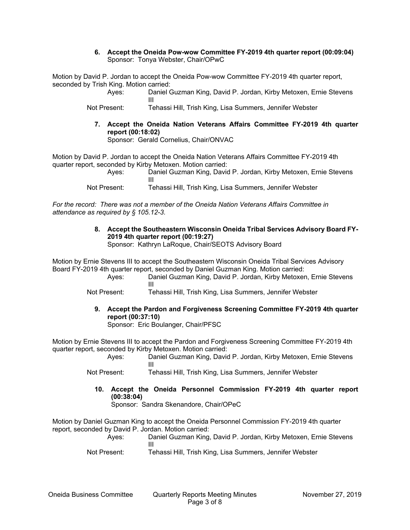### **6. Accept the Oneida Pow-wow Committee FY-2019 4th quarter report (00:09:04)**  Sponsor: Tonya Webster, Chair/OPwC

Motion by David P. Jordan to accept the Oneida Pow-wow Committee FY-2019 4th quarter report, seconded by Trish King. Motion carried:

> Ayes: Daniel Guzman King, David P. Jordan, Kirby Metoxen, Ernie Stevens III

- Not Present: Tehassi Hill, Trish King, Lisa Summers, Jennifer Webster
	- **7. Accept the Oneida Nation Veterans Affairs Committee FY-2019 4th quarter report (00:18:02)**

Sponsor: Gerald Cornelius, Chair/ONVAC

Motion by David P. Jordan to accept the Oneida Nation Veterans Affairs Committee FY-2019 4th quarter report, seconded by Kirby Metoxen. Motion carried:

 Ayes: Daniel Guzman King, David P. Jordan, Kirby Metoxen, Ernie Stevens III

Not Present: Tehassi Hill, Trish King, Lisa Summers, Jennifer Webster

*For the record: There was not a member of the Oneida Nation Veterans Affairs Committee in attendance as required by § 105.12-3.* 

# **8. Accept the Southeastern Wisconsin Oneida Tribal Services Advisory Board FY-2019 4th quarter report (00:19:27)**

Sponsor: Kathryn LaRoque, Chair/SEOTS Advisory Board

Motion by Ernie Stevens III to accept the Southeastern Wisconsin Oneida Tribal Services Advisory Board FY-2019 4th quarter report, seconded by Daniel Guzman King. Motion carried:

 Ayes: Daniel Guzman King, David P. Jordan, Kirby Metoxen, Ernie Stevens III

Not Present: Tehassi Hill, Trish King, Lisa Summers, Jennifer Webster

**9. Accept the Pardon and Forgiveness Screening Committee FY-2019 4th quarter report (00:37:10)** 

Sponsor: Eric Boulanger, Chair/PFSC

Motion by Ernie Stevens III to accept the Pardon and Forgiveness Screening Committee FY-2019 4th quarter report, seconded by Kirby Metoxen. Motion carried:

 Ayes: Daniel Guzman King, David P. Jordan, Kirby Metoxen, Ernie Stevens III

- Not Present: Tehassi Hill, Trish King, Lisa Summers, Jennifer Webster
	- **10. Accept the Oneida Personnel Commission FY-2019 4th quarter report (00:38:04)**

Sponsor: Sandra Skenandore, Chair/OPeC

Motion by Daniel Guzman King to accept the Oneida Personnel Commission FY-2019 4th quarter report, seconded by David P. Jordan. Motion carried:

 Ayes: Daniel Guzman King, David P. Jordan, Kirby Metoxen, Ernie Stevens III

Not Present: Tehassi Hill, Trish King, Lisa Summers, Jennifer Webster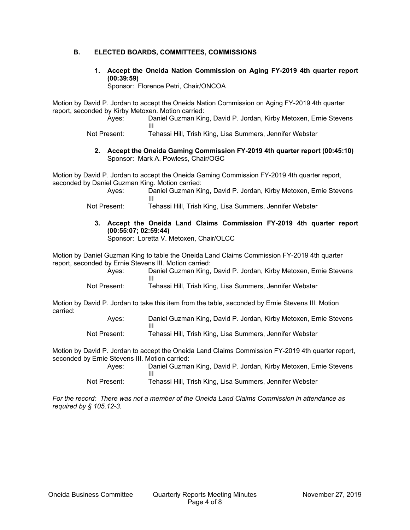## **B. ELECTED BOARDS, COMMITTEES, COMMISSIONS**

**1. Accept the Oneida Nation Commission on Aging FY-2019 4th quarter report (00:39:59)** 

Sponsor: Florence Petri, Chair/ONCOA

Motion by David P. Jordan to accept the Oneida Nation Commission on Aging FY-2019 4th quarter report, seconded by Kirby Metoxen. Motion carried:

 Ayes: Daniel Guzman King, David P. Jordan, Kirby Metoxen, Ernie Stevens III

Not Present: Tehassi Hill, Trish King, Lisa Summers, Jennifer Webster

**2. Accept the Oneida Gaming Commission FY-2019 4th quarter report (00:45:10)**  Sponsor: Mark A. Powless, Chair/OGC

Motion by David P. Jordan to accept the Oneida Gaming Commission FY-2019 4th quarter report, seconded by Daniel Guzman King. Motion carried:

> Ayes: Daniel Guzman King, David P. Jordan, Kirby Metoxen, Ernie Stevens III

Not Present: Tehassi Hill, Trish King, Lisa Summers, Jennifer Webster

**3. Accept the Oneida Land Claims Commission FY-2019 4th quarter report (00:55:07; 02:59:44)**  Sponsor: Loretta V. Metoxen, Chair/OLCC

Motion by Daniel Guzman King to table the Oneida Land Claims Commission FY-2019 4th quarter report, seconded by Ernie Stevens III. Motion carried:

| Aves: | Daniel Guzman King, David P. Jordan, Kirby Metoxen, Ernie Stevens |
|-------|-------------------------------------------------------------------|
|       |                                                                   |
|       |                                                                   |

Not Present: Tehassi Hill, Trish King, Lisa Summers, Jennifer Webster

Motion by David P. Jordan to take this item from the table, seconded by Ernie Stevens III. Motion carried:

| Aves:        | Daniel Guzman King, David P. Jordan, Kirby Metoxen, Ernie Stevens |
|--------------|-------------------------------------------------------------------|
|              |                                                                   |
| Not Present: | Tehassi Hill, Trish King, Lisa Summers, Jennifer Webster          |

Motion by David P. Jordan to accept the Oneida Land Claims Commission FY-2019 4th quarter report, seconded by Ernie Stevens III. Motion carried:

| Ayes:        | Daniel Guzman King, David P. Jordan, Kirby Metoxen, Ernie Stevens |
|--------------|-------------------------------------------------------------------|
|              |                                                                   |
| Not Present: | Tehassi Hill, Trish King, Lisa Summers, Jennifer Webster          |

*For the record: There was not a member of the Oneida Land Claims Commission in attendance as required by § 105.12-3.*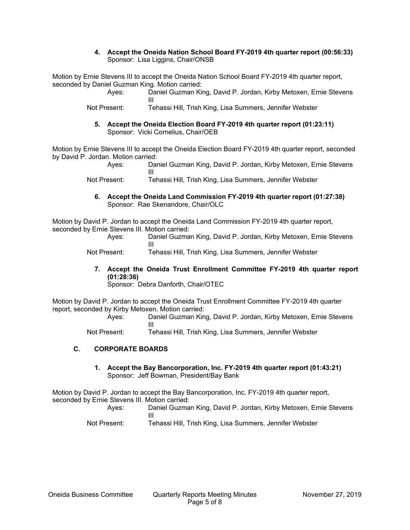### **4. Accept the Oneida Nation School Board FY-2019 4th quarter report (00:56:33)**  Sponsor: Lisa Liggins, Chair/ONSB

Motion by Ernie Stevens III to accept the Oneida Nation School Board FY-2019 4th quarter report, seconded by Daniel Guzman King. Motion carried:

 Ayes: Daniel Guzman King, David P. Jordan, Kirby Metoxen, Ernie Stevens III

- Not Present: Tehassi Hill, Trish King, Lisa Summers, Jennifer Webster
	- **5. Accept the Oneida Election Board FY-2019 4th quarter report (01:23:11)**  Sponsor: Vicki Cornelius, Chair/OEB

Motion by Ernie Stevens III to accept the Oneida Election Board FY-2019 4th quarter report, seconded by David P. Jordan. Motion carried:

- Ayes: Daniel Guzman King, David P. Jordan, Kirby Metoxen, Ernie Stevens III
- Not Present: Tehassi Hill, Trish King, Lisa Summers, Jennifer Webster
	- **6. Accept the Oneida Land Commission FY-2019 4th quarter report (01:27:38)**  Sponsor: Rae Skenandore, Chair/OLC

Motion by David P. Jordan to accept the Oneida Land Commission FY-2019 4th quarter report, seconded by Ernie Stevens III. Motion carried:

| Aves: | Daniel Guzman King, David P. Jordan, Kirby Metoxen, Ernie Stevens |
|-------|-------------------------------------------------------------------|
|       |                                                                   |
|       |                                                                   |

Not Present: Tehassi Hill, Trish King, Lisa Summers, Jennifer Webster

**7. Accept the Oneida Trust Enrollment Committee FY-2019 4th quarter report (01:28:36)** 

Sponsor: Debra Danforth, Chair/OTEC

Motion by David P. Jordan to accept the Oneida Trust Enrollment Committee FY-2019 4th quarter report, seconded by Kirby Metoxen. Motion carried:

 Ayes: Daniel Guzman King, David P. Jordan, Kirby Metoxen, Ernie Stevens III

Not Present: Tehassi Hill, Trish King, Lisa Summers, Jennifer Webster

# **C. CORPORATE BOARDS**

**1. Accept the Bay Bancorporation, Inc. FY-2019 4th quarter report (01:43:21)**  Sponsor: Jeff Bowman, President/Bay Bank

Motion by David P. Jordan to accept the Bay Bancorporation, Inc. FY-2019 4th quarter report, seconded by Ernie Stevens III. Motion carried:

- Ayes: Daniel Guzman King, David P. Jordan, Kirby Metoxen, Ernie Stevens III
- Not Present: Tehassi Hill, Trish King, Lisa Summers, Jennifer Webster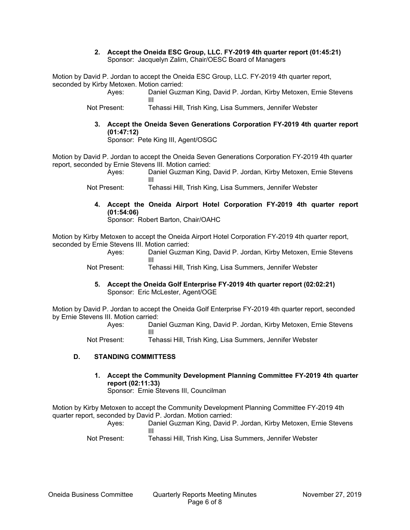#### **2. Accept the Oneida ESC Group, LLC. FY-2019 4th quarter report (01:45:21)**  Sponsor: Jacquelyn Zalim, Chair/OESC Board of Managers

Motion by David P. Jordan to accept the Oneida ESC Group, LLC. FY-2019 4th quarter report, seconded by Kirby Metoxen. Motion carried:

 Ayes: Daniel Guzman King, David P. Jordan, Kirby Metoxen, Ernie Stevens III

Not Present: Tehassi Hill, Trish King, Lisa Summers, Jennifer Webster

**3. Accept the Oneida Seven Generations Corporation FY-2019 4th quarter report (01:47:12)** 

Sponsor: Pete King III, Agent/OSGC

Motion by David P. Jordan to accept the Oneida Seven Generations Corporation FY-2019 4th quarter report, seconded by Ernie Stevens III. Motion carried:

 Ayes: Daniel Guzman King, David P. Jordan, Kirby Metoxen, Ernie Stevens III

Not Present: Tehassi Hill, Trish King, Lisa Summers, Jennifer Webster

**4. Accept the Oneida Airport Hotel Corporation FY-2019 4th quarter report (01:54:06)** 

Sponsor: Robert Barton, Chair/OAHC

Motion by Kirby Metoxen to accept the Oneida Airport Hotel Corporation FY-2019 4th quarter report, seconded by Ernie Stevens III. Motion carried:

 Ayes: Daniel Guzman King, David P. Jordan, Kirby Metoxen, Ernie Stevens III

Not Present: Tehassi Hill, Trish King, Lisa Summers, Jennifer Webster

**5. Accept the Oneida Golf Enterprise FY-2019 4th quarter report (02:02:21)**  Sponsor: Eric McLester, Agent/OGE

Motion by David P. Jordan to accept the Oneida Golf Enterprise FY-2019 4th quarter report, seconded by Ernie Stevens III. Motion carried:

 Ayes: Daniel Guzman King, David P. Jordan, Kirby Metoxen, Ernie Stevens III

Not Present: Tehassi Hill, Trish King, Lisa Summers, Jennifer Webster

# **D. STANDING COMMITTESS**

**1. Accept the Community Development Planning Committee FY-2019 4th quarter report (02:11:33)** 

Sponsor: Ernie Stevens III, Councilman

Motion by Kirby Metoxen to accept the Community Development Planning Committee FY-2019 4th quarter report, seconded by David P. Jordan. Motion carried:

| Ayes:        | Daniel Guzman King, David P. Jordan, Kirby Metoxen, Ernie Stevens |
|--------------|-------------------------------------------------------------------|
|              |                                                                   |
| Not Present: | Tehassi Hill, Trish King, Lisa Summers, Jennifer Webster          |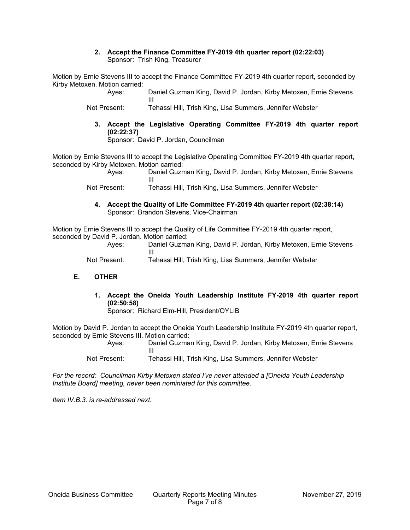### **2. Accept the Finance Committee FY-2019 4th quarter report (02:22:03)**  Sponsor: Trish King, Treasurer

Motion by Ernie Stevens III to accept the Finance Committee FY-2019 4th quarter report, seconded by Kirby Metoxen. Motion carried:

> Ayes: Daniel Guzman King, David P. Jordan, Kirby Metoxen, Ernie Stevens III

- Not Present: Tehassi Hill, Trish King, Lisa Summers, Jennifer Webster
	- **3. Accept the Legislative Operating Committee FY-2019 4th quarter report (02:22:37)**

Sponsor: David P. Jordan, Councilman

Motion by Ernie Stevens III to accept the Legislative Operating Committee FY-2019 4th quarter report, seconded by Kirby Metoxen. Motion carried:

 Ayes: Daniel Guzman King, David P. Jordan, Kirby Metoxen, Ernie Stevens III

Not Present: Tehassi Hill, Trish King, Lisa Summers, Jennifer Webster

**4. Accept the Quality of Life Committee FY-2019 4th quarter report (02:38:14)**  Sponsor: Brandon Stevens, Vice-Chairman

Motion by Ernie Stevens III to accept the Quality of Life Committee FY-2019 4th quarter report, seconded by David P. Jordan. Motion carried:

| Ayes:        | Daniel Guzman King, David P. Jordan, Kirby Metoxen, Ernie Stevens |
|--------------|-------------------------------------------------------------------|
|              |                                                                   |
| Not Present: | Tehassi Hill, Trish King, Lisa Summers, Jennifer Webster          |

# **E. OTHER**

**1. Accept the Oneida Youth Leadership Institute FY-2019 4th quarter report (02:50:58)** 

Sponsor: Richard Elm-Hill, President/OYLIB

Motion by David P. Jordan to accept the Oneida Youth Leadership Institute FY-2019 4th quarter report, seconded by Ernie Stevens III. Motion carried:

 Ayes: Daniel Guzman King, David P. Jordan, Kirby Metoxen, Ernie Stevens III

Not Present: Tehassi Hill, Trish King, Lisa Summers, Jennifer Webster

*For the record: Councilman Kirby Metoxen stated I've never attended a [Oneida Youth Leadership Institute Board] meeting, never been nominiated for this committee.* 

*Item IV.B.3. is re-addressed next.*